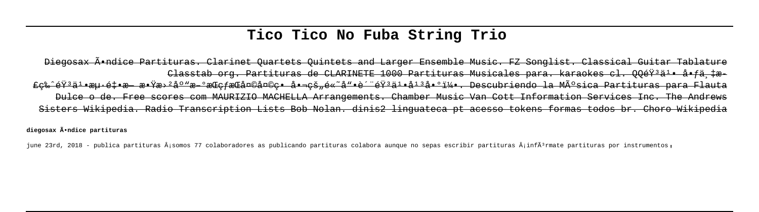# Tico Tico No Fuba String Trio

## Diegogax A•ndice Partituras, Clarinet Ouartets Ouintets and Larger Ensemble Music, FZ Songlist, Classical Guitar Tablature Classtab org. Partituras de CLARINETE 1000 Partituras Musicales para. karaokes cl. 00éŸ3ä1• å•fä tæ fe%^韪ä'•æu·éŧ•æ æ•Ÿæ›ºåº™æ ºæŒefæŒå¤©å¤©e• 啬eš"é«~噕质韪ä'•åºå•ºï¼•. Descubriendo la Música Partituras para Flauta Dulce o de. Free scores com MAURIZIO MACHELLA Arrangements. Chamber Music Van Cott Information Services Inc. The Andrews Sisters Wikipedia. Radio Transcription Lists Bob Nolan, dinis2 linguateca pt acesso tokens formas todos br. Choro Wikipedia

diegosax Ã\*ndice partituras

june 23rd, 2018 - publica partituras Â;somos 77 colaboradores as publicando partituras colabora aunque no sepas escribir partituras Â;infÃ3rmate partituras por instrumentos,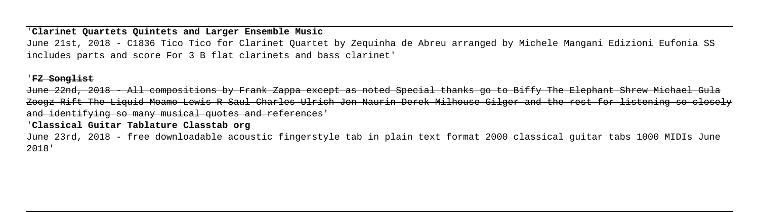### '**Clarinet Quartets Quintets and Larger Ensemble Music**

June 21st, 2018 - C1836 Tico Tico for Clarinet Quartet by Zequinha de Abreu arranged by Michele Mangani Edizioni Eufonia SS includes parts and score For 3 B flat clarinets and bass clarinet'

### '**FZ Songlist**

June 22nd, 2018 - All compositions by Frank Zappa except as noted Special thanks go to Biffy The Elephant Shrew Michael Gula Zoogz Rift The Liquid Moamo Lewis R Saul Charles Ulrich Jon Naurin Derek Milhouse Gilger and the rest for listening so closely and identifying so many musical quotes and references'

### '**Classical Guitar Tablature Classtab org**

June 23rd, 2018 - free downloadable acoustic fingerstyle tab in plain text format 2000 classical guitar tabs 1000 MIDIs June 2018'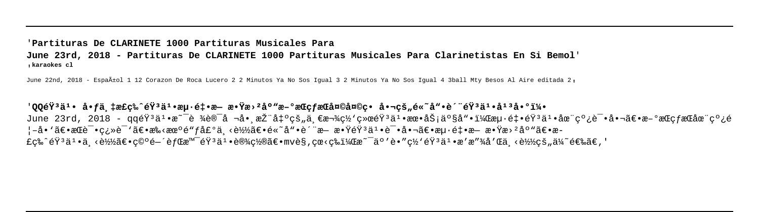## '**Partituras De CLARINETE 1000 Partituras Musicales Para June 23rd, 2018 - Partituras De CLARINETE 1000 Partituras Musicales Para Clarinetistas En Si Bemol**' '**karaokes cl**

June 22nd, 2018 - Españtol 1 12 Corazon De Roca Lucero 2 2 Minutos Ya No Sos Igual 3 2 Minutos Ya No Sos Igual 4 3ball Mtv Besos Al Aire editada 2.

## 'QQ韪ä<sup>ı</sup>• 啃ä ‡æ£ç‰^韪äŀ海釕æ— æ•Ÿæ›ºåº"æ–°æŒç*fæ*Ό¤©å¤©ç• 啬çš"é«~噕è´"韪äŀ•å<sup>ıз</sup>啰u June 23rd, 2018 - qq韪井æ~¯è ¾è®¯å ¬å• 推出çš"ä €æ¬¾ç½'c»œéŸªäº•朕åŠ;产å"•,æu•ét•韪井夨cº¿è¯•啬〕æ-ºæŒcfæŒåœ¨cº¿é ¦–å•`〕æŒè¯•ç¿»è¯`〕æ‱<机é"ƒå£ºä¸<è½ã€•é«~å"•è´¨æ— æ•ŸéŸз䪕试啬〕æu·é‡•æ— æ•Ÿæ›ºåº"〕æ-£c‰^éŸ}ä1•ä ‹è½½ã€•c©°é—´èfŒæ™¯éŸ}ä1•设c½®ã€•mvè§,cœ‹c‰ï¼Œæ~¯ä°′è•″ç½`éŸ}ä1•æ′æ″¾å′Œä¸‹è½½çš"ä¼~选ã€,'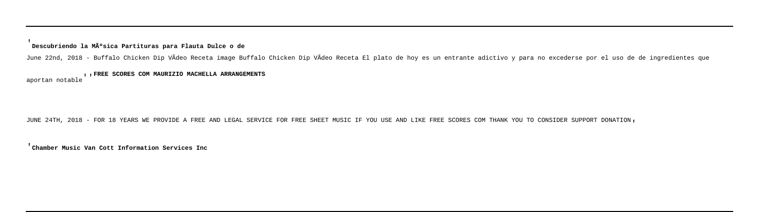#### '**Descubriendo la Música Partituras para Flauta Dulce o de**

June 22nd, 2018 - Buffalo Chicken Dip VÃdeo Receta image Buffalo Chicken Dip VÃdeo Receta El plato de hoy es un entrante adictivo y para no excederse por el uso de de ingredientes que

## aportan notable''**FREE SCORES COM MAURIZIO MACHELLA ARRANGEMENTS**

JUNE 24TH, 2018 - FOR 18 YEARS WE PROVIDE A FREE AND LEGAL SERVICE FOR FREE SHEET MUSIC IF YOU USE AND LIKE FREE SCORES COM THANK YOU TO CONSIDER SUPPORT DONATION,

'**Chamber Music Van Cott Information Services Inc**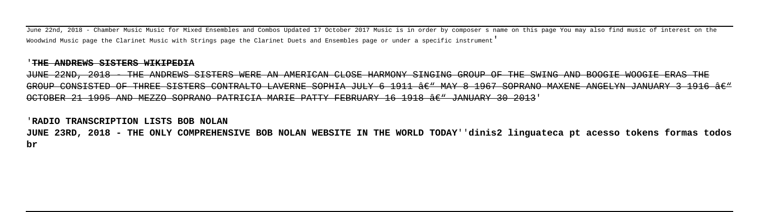June 22nd, 2018 - Chamber Music Music for Mixed Ensembles and Combos Updated 17 October 2017 Music is in order by composer s name on this page You may also find music of interest on the Woodwind Music page the Clarinet Music with Strings page the Clarinet Duets and Ensembles page or under a specific instrument'

#### '**THE ANDREWS SISTERS WIKIPEDIA**

JUNE 22ND, 2018 - THE ANDREWS SISTERS WERE AN AMERICAN CLOSE HARMONY SINGING GROUP OF THE SWING AND BOOGIE WOOGIE ERAS THE GROUP CONSISTED OF THREE SISTERS CONTRALTO LAVERNE SOPHIA JULY 6 1911 â $\epsilon$ " MAY 8 1967 SOPRANO MAXENE ANGELYN JANUARY 3 1916 â $\epsilon$ " OCTOBER 21 1995 AND MEZZO SOPRANO PATRICIA MARIE PATTY FEBRUARY 16 1918 â $\epsilon$ " JANUARY 30 2013'

#### '**RADIO TRANSCRIPTION LISTS BOB NOLAN**

**JUNE 23RD, 2018 - THE ONLY COMPREHENSIVE BOB NOLAN WEBSITE IN THE WORLD TODAY**''**dinis2 linguateca pt acesso tokens formas todos br**